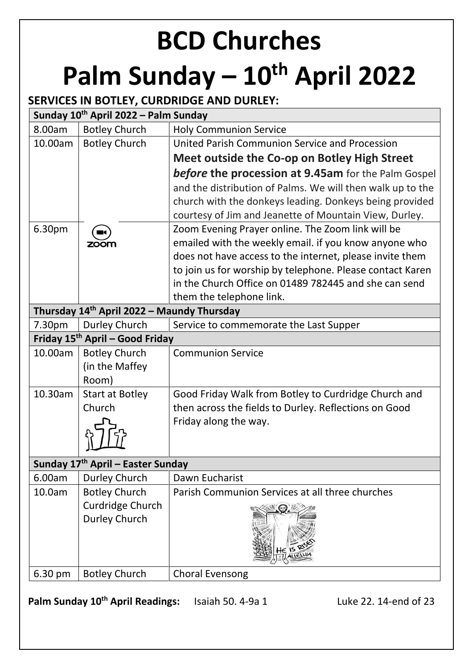# **BCD Churches Palm Sunday – 10th April 2022**

## **SERVICES IN BOTLEY, CURDRIDGE AND DURLEY:**

| Sunday 10 <sup>th</sup> April 2022 – Palm Sunday                                   |                                               |                                                            |  |  |  |  |  |
|------------------------------------------------------------------------------------|-----------------------------------------------|------------------------------------------------------------|--|--|--|--|--|
| 8.00am                                                                             | <b>Botley Church</b>                          | <b>Holy Communion Service</b>                              |  |  |  |  |  |
| 10.00am                                                                            | <b>Botley Church</b>                          | United Parish Communion Service and Procession             |  |  |  |  |  |
|                                                                                    |                                               | Meet outside the Co-op on Botley High Street               |  |  |  |  |  |
|                                                                                    |                                               | <b>before the procession at 9.45am</b> for the Palm Gospel |  |  |  |  |  |
|                                                                                    |                                               | and the distribution of Palms. We will then walk up to the |  |  |  |  |  |
|                                                                                    |                                               | church with the donkeys leading. Donkeys being provided    |  |  |  |  |  |
|                                                                                    |                                               | courtesy of Jim and Jeanette of Mountain View, Durley.     |  |  |  |  |  |
| 6.30pm                                                                             |                                               | Zoom Evening Prayer online. The Zoom link will be          |  |  |  |  |  |
|                                                                                    | zoom                                          | emailed with the weekly email. if you know anyone who      |  |  |  |  |  |
|                                                                                    |                                               | does not have access to the internet, please invite them   |  |  |  |  |  |
|                                                                                    |                                               | to join us for worship by telephone. Please contact Karen  |  |  |  |  |  |
|                                                                                    |                                               | in the Church Office on 01489 782445 and she can send      |  |  |  |  |  |
| them the telephone link.<br>Thursday 14 <sup>th</sup> April 2022 - Maundy Thursday |                                               |                                                            |  |  |  |  |  |
| 7.30pm                                                                             | Durley Church                                 | Service to commemorate the Last Supper                     |  |  |  |  |  |
|                                                                                    | Friday 15 <sup>th</sup> April – Good Friday   |                                                            |  |  |  |  |  |
| 10.00am                                                                            | <b>Botley Church</b>                          | <b>Communion Service</b>                                   |  |  |  |  |  |
|                                                                                    | (in the Maffey                                |                                                            |  |  |  |  |  |
|                                                                                    | Room)                                         |                                                            |  |  |  |  |  |
| 10.30am                                                                            | <b>Start at Botley</b>                        | Good Friday Walk from Botley to Curdridge Church and       |  |  |  |  |  |
|                                                                                    | Church                                        | then across the fields to Durley. Reflections on Good      |  |  |  |  |  |
|                                                                                    |                                               | Friday along the way.                                      |  |  |  |  |  |
|                                                                                    |                                               |                                                            |  |  |  |  |  |
|                                                                                    |                                               |                                                            |  |  |  |  |  |
|                                                                                    | Sunday 17 <sup>th</sup> April - Easter Sunday |                                                            |  |  |  |  |  |
| 6.00am                                                                             | Durley Church                                 | Dawn Eucharist                                             |  |  |  |  |  |
| 10.0am                                                                             | <b>Botley Church</b>                          | Parish Communion Services at all three churches            |  |  |  |  |  |
|                                                                                    | Curdridge Church                              |                                                            |  |  |  |  |  |
|                                                                                    | Durley Church                                 |                                                            |  |  |  |  |  |
|                                                                                    |                                               |                                                            |  |  |  |  |  |
| 6.30 pm                                                                            | <b>Botley Church</b>                          | <b>Choral Evensong</b>                                     |  |  |  |  |  |
|                                                                                    |                                               |                                                            |  |  |  |  |  |

**Palm Sunday 10<sup>th</sup> April Readings:** Isaiah 50. 4-9a 1 Luke 22. 14-end of 23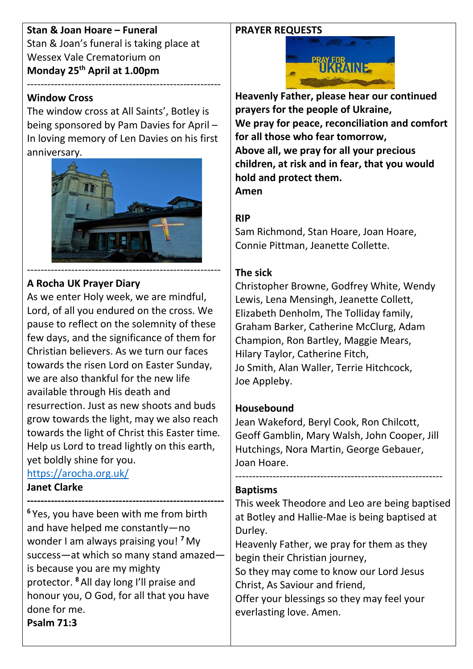#### **PRAYER REQUESTS**

**Stan & Joan Hoare – Funeral** Stan & Joan's funeral is taking place at Wessex Vale Crematorium on **Monday 25th April at 1.00pm**

#### **Window Cross**

The window cross at All Saints', Botley is being sponsored by Pam Davies for April – In loving memory of Len Davies on his first anniversary.

---------------------------------------------------------



## **A Rocha UK Prayer Diary**

As we enter Holy week, we are mindful, Lord, of all you endured on the cross. We pause to reflect on the solemnity of these few days, and the significance of them for Christian believers. As we turn our faces towards the risen Lord on Easter Sunday, we are also thankful for the new life available through His death and resurrection. Just as new shoots and buds grow towards the light, may we also reach towards the light of Christ this Easter time. Help us Lord to tread lightly on this earth, yet boldly shine for you.

### <https://arocha.org.uk/>

#### **Janet Clarke**

**---------------------------------------------------------- <sup>6</sup>** Yes, you have been with me from birth and have helped me constantly—no wonder I am always praising you! **<sup>7</sup>** My success—at which so many stand amazed is because you are my mighty protector. **<sup>8</sup>** All day long I'll praise and honour you, O God, for all that you have done for me. **Psalm 71:3**



**Heavenly Father, please hear our continued prayers for the people of Ukraine, We pray for peace, reconciliation and comfort for all those who fear tomorrow, Above all, we pray for all your precious children, at risk and in fear, that you would hold and protect them. Amen**

### **RIP**

Sam Richmond, Stan Hoare, Joan Hoare, Connie Pittman, Jeanette Collette.

#### **The sick**

Christopher Browne, Godfrey White, Wendy Lewis, Lena Mensingh, Jeanette Collett, Elizabeth Denholm, The Tolliday family, Graham Barker, Catherine McClurg, Adam Champion, Ron Bartley, Maggie Mears, Hilary Taylor, Catherine Fitch, Jo Smith, Alan Waller, Terrie Hitchcock, Joe Appleby.

#### **Housebound**

Jean Wakeford, Beryl Cook, Ron Chilcott, Geoff Gamblin, Mary Walsh, John Cooper, Jill Hutchings, Nora Martin, George Gebauer, Joan Hoare.

-------------------------------------------------------------

#### **Baptisms**

This week Theodore and Leo are being baptised at Botley and Hallie-Mae is being baptised at Durley.

Heavenly Father, we pray for them as they begin their Christian journey,

So they may come to know our Lord Jesus Christ, As Saviour and friend,

Offer your blessings so they may feel your everlasting love. Amen.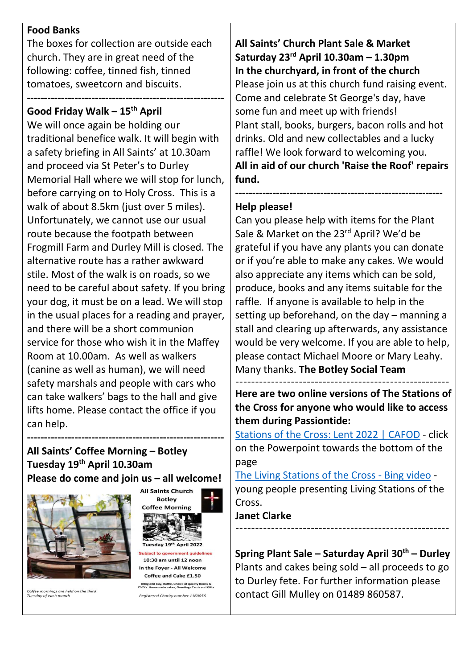#### **Food Banks**

The boxes for collection are outside each church. They are in great need of the following: coffee, tinned fish, tinned tomatoes, sweetcorn and biscuits.

#### **---------------------------------------------------------- Good Friday Walk – 15th April**

We will once again be holding our traditional benefice walk. It will begin with a safety briefing in All Saints' at 10.30am and proceed via St Peter's to Durley Memorial Hall where we will stop for lunch, before carrying on to Holy Cross. This is a walk of about 8.5km (just over 5 miles). Unfortunately, we cannot use our usual route because the footpath between Frogmill Farm and Durley Mill is closed. The alternative route has a rather awkward stile. Most of the walk is on roads, so we need to be careful about safety. If you bring your dog, it must be on a lead. We will stop in the usual places for a reading and prayer, and there will be a short communion service for those who wish it in the Maffey Room at 10.00am. As well as walkers (canine as well as human), we will need safety marshals and people with cars who can take walkers' bags to the hall and give lifts home. Please contact the office if you can help.

#### **All Saints' Coffee Morning – Botley Tuesday 19th April 10.30am Please do come and join us – all welcome!**

**----------------------------------------------------------**



Coffee mornings are held on the third<br>Tuesday of each month



**All Saints' Church Plant Sale & Market Saturday 23rd April 10.30am – 1.30pm In the churchyard, in front of the church** Please join us at this church fund raising event. Come and celebrate St George's day, have some fun and meet up with friends! Plant stall, books, burgers, bacon rolls and hot drinks. Old and new collectables and a lucky raffle! We look forward to welcoming you. **All in aid of our church 'Raise the Roof' repairs fund.**

**-------------------------------------------------------------**

## **Help please!**

Can you please help with items for the Plant Sale & Market on the 23<sup>rd</sup> April? We'd be grateful if you have any plants you can donate or if you're able to make any cakes. We would also appreciate any items which can be sold, produce, books and any items suitable for the raffle. If anyone is available to help in the setting up beforehand, on the day – manning a stall and clearing up afterwards, any assistance would be very welcome. If you are able to help, please contact Michael Moore or Mary Leahy. Many thanks. **The Botley Social Team**

------------------------------------------------------ **Here are two online versions of The Stations of the Cross for anyone who would like to access them during Passiontide:**

[Stations of the Cross: Lent 2022 | CAFOD](https://cafod.org.uk/Pray/Prayer-resources/Stations-of-the-Cross) - click on the Powerpoint towards the bottom of the page

[The Living Stations of the Cross -](https://www.bing.com/videos/search?q=stations+of+the+cross+youtube&&view=detail&mid=2BD167E6C3A4BD87364E2BD167E6C3A4BD87364E&&FORM=VDRVRV) Bing video young people presenting Living Stations of the Cross.

#### **Janet Clarke**  $-$

**Spring Plant Sale – Saturday April 30th – Durley** Plants and cakes being sold – all proceeds to go to Durley fete. For further information please contact Gill Mulley on 01489 860587.